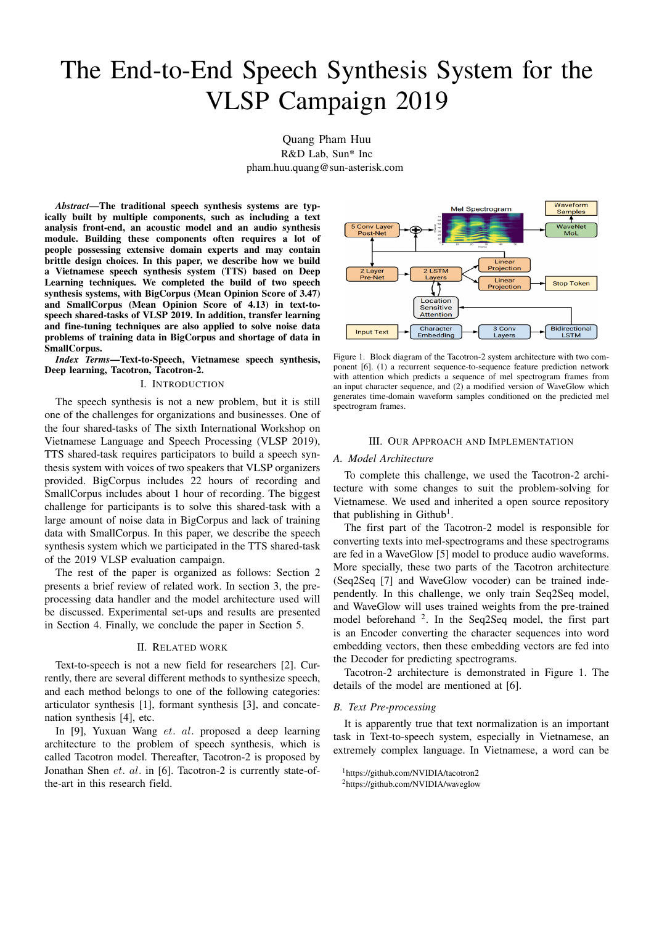# The End-to-End Speech Synthesis System for the VLSP Campaign 2019

Quang Pham Huu R&D Lab, Sun\* Inc pham.huu.quang@sun-asterisk.com

*Abstract***—The traditional speech synthesis systems are typically built by multiple components, such as including a text analysis front-end, an acoustic model and an audio synthesis module. Building these components often requires a lot of people possessing extensive domain experts and may contain brittle design choices. In this paper, we describe how we build a Vietnamese speech synthesis system (TTS) based on Deep Learning techniques. We completed the build of two speech synthesis systems, with BigCorpus (Mean Opinion Score of 3.47) and SmallCorpus (Mean Opinion Score of 4.13) in text-tospeech shared-tasks of VLSP 2019. In addition, transfer learning and fine-tuning techniques are also applied to solve noise data problems of training data in BigCorpus and shortage of data in SmallCorpus.**

*Index Terms***—Text-to-Speech, Vietnamese speech synthesis, Deep learning, Tacotron, Tacotron-2.**

#### I. INTRODUCTION

The speech synthesis is not a new problem, but it is still one of the challenges for organizations and businesses. One of the four shared-tasks of The sixth International Workshop on Vietnamese Language and Speech Processing (VLSP 2019), TTS shared-task requires participators to build a speech synthesis system with voices of two speakers that VLSP organizers provided. BigCorpus includes 22 hours of recording and SmallCorpus includes about 1 hour of recording. The biggest challenge for participants is to solve this shared-task with a large amount of noise data in BigCorpus and lack of training data with SmallCorpus. In this paper, we describe the speech synthesis system which we participated in the TTS shared-task of the 2019 VLSP evaluation campaign.

The rest of the paper is organized as follows: Section 2 presents a brief review of related work. In section 3, the preprocessing data handler and the model architecture used will be discussed. Experimental set-ups and results are presented in Section 4. Finally, we conclude the paper in Section 5.

## II. RELATED WORK

Text-to-speech is not a new field for researchers [2]. Currently, there are several different methods to synthesize speech, and each method belongs to one of the following categories: articulator synthesis [1], formant synthesis [3], and concatenation synthesis [4], etc.

In [9], Yuxuan Wang et. al. proposed a deep learning architecture to the problem of speech synthesis, which is called Tacotron model. Thereafter, Tacotron-2 is proposed by Jonathan Shen et. al. in [6]. Tacotron-2 is currently state-ofthe-art in this research field.



Figure 1. Block diagram of the Tacotron-2 system architecture with two component [6]. (1) a recurrent sequence-to-sequence feature prediction network with attention which predicts a sequence of mel spectrogram frames from an input character sequence, and (2) a modified version of WaveGlow which generates time-domain waveform samples conditioned on the predicted mel spectrogram frames.

# III. OUR APPROACH AND IMPLEMENTATION

#### *A. Model Architecture*

To complete this challenge, we used the Tacotron-2 architecture with some changes to suit the problem-solving for Vietnamese. We used and inherited a open source repository that publishing in Github<sup>1</sup>.

The first part of the Tacotron-2 model is responsible for converting texts into mel-spectrograms and these spectrograms are fed in a WaveGlow [5] model to produce audio waveforms. More specially, these two parts of the Tacotron architecture (Seq2Seq [7] and WaveGlow vocoder) can be trained independently. In this challenge, we only train Seq2Seq model, and WaveGlow will uses trained weights from the pre-trained model beforehand <sup>2</sup>. In the Seq2Seq model, the first part is an Encoder converting the character sequences into word embedding vectors, then these embedding vectors are fed into the Decoder for predicting spectrograms.

Tacotron-2 architecture is demonstrated in Figure 1. The details of the model are mentioned at [6].

# *B. Text Pre-processing*

It is apparently true that text normalization is an important task in Text-to-speech system, especially in Vietnamese, an extremely complex language. In Vietnamese, a word can be

<sup>1</sup>https://github.com/NVIDIA/tacotron2

<sup>2</sup>https://github.com/NVIDIA/waveglow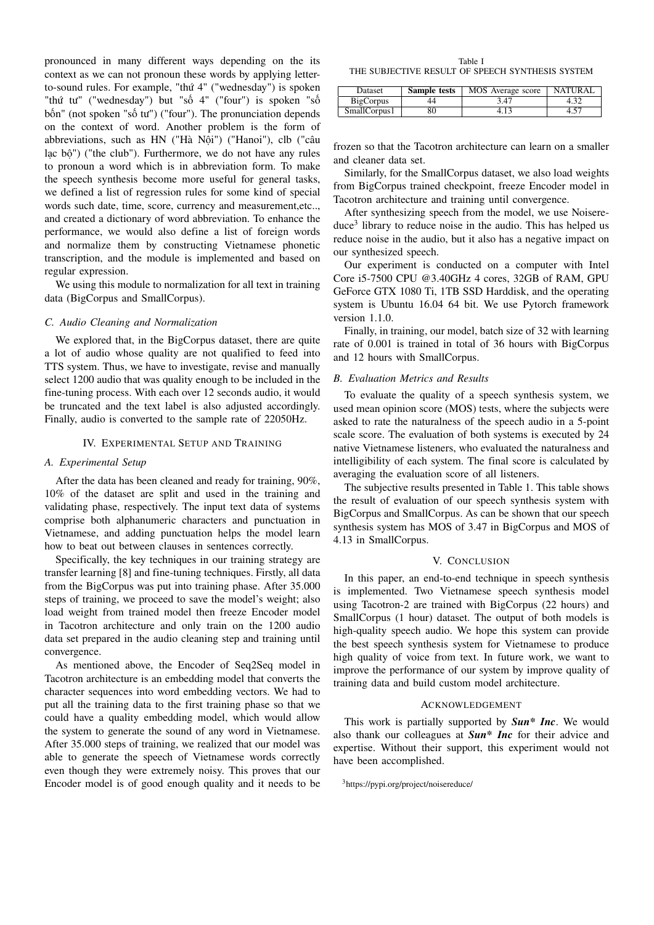pronounced in many different ways depending on the its context as we can not pronoun these words by applying letterto-sound rules. For example, "thứ 4" ("wednesday") is spoken "thứ tư" ("wednesday") but "số 4" ("four") is spoken "số bốn" (not spoken "số tư") ("four"). The pronunciation depends on the context of word. Another problem is the form of abbreviations, such as HN ("Hà Nội") ("Hanoi"), clb ("câu lạc bộ") ("the club"). Furthermore, we do not have any rules to pronoun a word which is in abbreviation form. To make the speech synthesis become more useful for general tasks, we defined a list of regression rules for some kind of special words such date, time, score, currency and measurement,etc.., and created a dictionary of word abbreviation. To enhance the performance, we would also define a list of foreign words and normalize them by constructing Vietnamese phonetic transcription, and the module is implemented and based on regular expression.

We using this module to normalization for all text in training data (BigCorpus and SmallCorpus).

## *C. Audio Cleaning and Normalization*

We explored that, in the BigCorpus dataset, there are quite a lot of audio whose quality are not qualified to feed into TTS system. Thus, we have to investigate, revise and manually select 1200 audio that was quality enough to be included in the fine-tuning process. With each over 12 seconds audio, it would be truncated and the text label is also adjusted accordingly. Finally, audio is converted to the sample rate of 22050Hz.

# IV. EXPERIMENTAL SETUP AND TRAINING

# *A. Experimental Setup*

After the data has been cleaned and ready for training, 90%, 10% of the dataset are split and used in the training and validating phase, respectively. The input text data of systems comprise both alphanumeric characters and punctuation in Vietnamese, and adding punctuation helps the model learn how to beat out between clauses in sentences correctly.

Specifically, the key techniques in our training strategy are transfer learning [8] and fine-tuning techniques. Firstly, all data from the BigCorpus was put into training phase. After 35.000 steps of training, we proceed to save the model's weight; also load weight from trained model then freeze Encoder model in Tacotron architecture and only train on the 1200 audio data set prepared in the audio cleaning step and training until convergence.

As mentioned above, the Encoder of Seq2Seq model in Tacotron architecture is an embedding model that converts the character sequences into word embedding vectors. We had to put all the training data to the first training phase so that we could have a quality embedding model, which would allow the system to generate the sound of any word in Vietnamese. After 35.000 steps of training, we realized that our model was able to generate the speech of Vietnamese words correctly even though they were extremely noisy. This proves that our Encoder model is of good enough quality and it needs to be

Table I THE SUBJECTIVE RESULT OF SPEECH SYNTHESIS SYSTEM

| Dataset      | Sample tests | MOS Average score | <b>NATURAL</b> |
|--------------|--------------|-------------------|----------------|
| BigCorpus    | 44           | 3.47              |                |
| SmallCorpus1 | 80           |                   |                |

frozen so that the Tacotron architecture can learn on a smaller and cleaner data set.

Similarly, for the SmallCorpus dataset, we also load weights from BigCorpus trained checkpoint, freeze Encoder model in Tacotron architecture and training until convergence.

After synthesizing speech from the model, we use Noisereduce<sup>3</sup> library to reduce noise in the audio. This has helped us reduce noise in the audio, but it also has a negative impact on our synthesized speech.

Our experiment is conducted on a computer with Intel Core i5-7500 CPU @3.40GHz 4 cores, 32GB of RAM, GPU GeForce GTX 1080 Ti, 1TB SSD Harddisk, and the operating system is Ubuntu 16.04 64 bit. We use Pytorch framework version 1.1.0.

Finally, in training, our model, batch size of 32 with learning rate of 0.001 is trained in total of 36 hours with BigCorpus and 12 hours with SmallCorpus.

## *B. Evaluation Metrics and Results*

To evaluate the quality of a speech synthesis system, we used mean opinion score (MOS) tests, where the subjects were asked to rate the naturalness of the speech audio in a 5-point scale score. The evaluation of both systems is executed by 24 native Vietnamese listeners, who evaluated the naturalness and intelligibility of each system. The final score is calculated by averaging the evaluation score of all listeners.

The subjective results presented in Table 1. This table shows the result of evaluation of our speech synthesis system with BigCorpus and SmallCorpus. As can be shown that our speech synthesis system has MOS of 3.47 in BigCorpus and MOS of 4.13 in SmallCorpus.

#### V. CONCLUSION

In this paper, an end-to-end technique in speech synthesis is implemented. Two Vietnamese speech synthesis model using Tacotron-2 are trained with BigCorpus (22 hours) and SmallCorpus (1 hour) dataset. The output of both models is high-quality speech audio. We hope this system can provide the best speech synthesis system for Vietnamese to produce high quality of voice from text. In future work, we want to improve the performance of our system by improve quality of training data and build custom model architecture.

#### ACKNOWLEDGEMENT

This work is partially supported by *Sun\* Inc*. We would also thank our colleagues at *Sun\* Inc* for their advice and expertise. Without their support, this experiment would not have been accomplished.

<sup>3</sup>https://pypi.org/project/noisereduce/